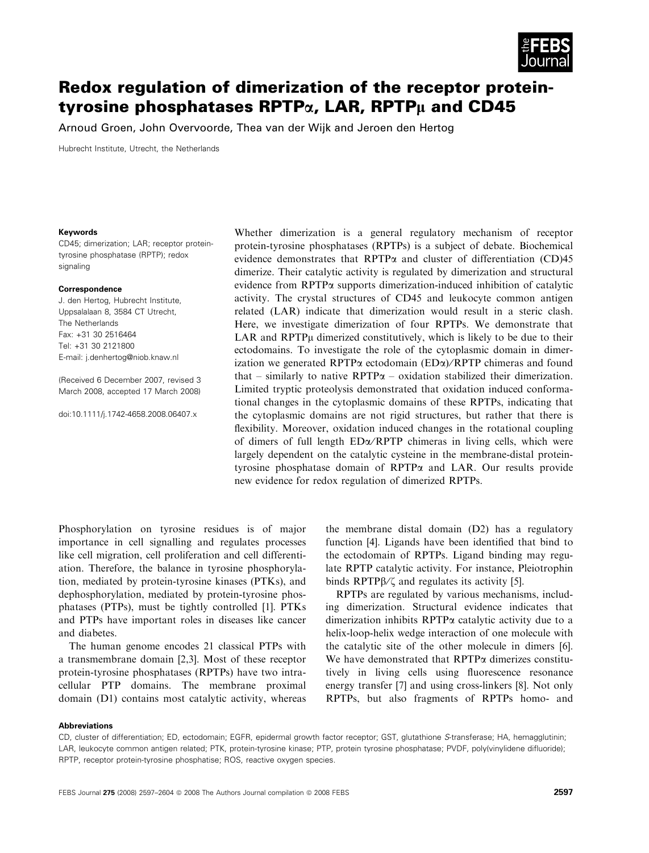

# Redox regulation of dimerization of the receptor proteintyrosine phosphatases RPTP $\alpha$ , LAR, RPTP $\mu$  and CD45

Arnoud Groen, John Overvoorde, Thea van der Wijk and Jeroen den Hertog

Hubrecht Institute, Utrecht, the Netherlands

#### Keywords

CD45; dimerization; LAR; receptor proteintyrosine phosphatase (RPTP); redox signaling

#### Correspondence

J. den Hertog, Hubrecht Institute, Uppsalalaan 8, 3584 CT Utrecht, The Netherlands Fax: +31 30 2516464 Tel: +31 30 2121800 E-mail: j.denhertog@niob.knaw.nl

(Received 6 December 2007, revised 3 March 2008, accepted 17 March 2008)

doi:10.1111/j.1742-4658.2008.06407.x

Whether dimerization is a general regulatory mechanism of receptor protein-tyrosine phosphatases (RPTPs) is a subject of debate. Biochemical evidence demonstrates that RPTP $\alpha$  and cluster of differentiation (CD)45 dimerize. Their catalytic activity is regulated by dimerization and structural evidence from RPTPa supports dimerization-induced inhibition of catalytic activity. The crystal structures of CD45 and leukocyte common antigen related (LAR) indicate that dimerization would result in a steric clash. Here, we investigate dimerization of four RPTPs. We demonstrate that LAR and RPTP<sub>µ</sub> dimerized constitutively, which is likely to be due to their ectodomains. To investigate the role of the cytoplasmic domain in dimerization we generated RPTP $\alpha$  ectodomain (ED $\alpha$ )/RPTP chimeras and found that – similarly to native  $\text{RPTP}\alpha$  – oxidation stabilized their dimerization. Limited tryptic proteolysis demonstrated that oxidation induced conformational changes in the cytoplasmic domains of these RPTPs, indicating that the cytoplasmic domains are not rigid structures, but rather that there is flexibility. Moreover, oxidation induced changes in the rotational coupling of dimers of full length  $ED\alpha/RPTP$  chimeras in living cells, which were largely dependent on the catalytic cysteine in the membrane-distal proteintyrosine phosphatase domain of RPTPa and LAR. Our results provide new evidence for redox regulation of dimerized RPTPs.

Phosphorylation on tyrosine residues is of major importance in cell signalling and regulates processes like cell migration, cell proliferation and cell differentiation. Therefore, the balance in tyrosine phosphorylation, mediated by protein-tyrosine kinases (PTKs), and dephosphorylation, mediated by protein-tyrosine phosphatases (PTPs), must be tightly controlled [1]. PTKs and PTPs have important roles in diseases like cancer and diabetes.

The human genome encodes 21 classical PTPs with a transmembrane domain [2,3]. Most of these receptor protein-tyrosine phosphatases (RPTPs) have two intracellular PTP domains. The membrane proximal domain (D1) contains most catalytic activity, whereas the membrane distal domain (D2) has a regulatory function [4]. Ligands have been identified that bind to the ectodomain of RPTPs. Ligand binding may regulate RPTP catalytic activity. For instance, Pleiotrophin binds RPTP $\beta$ / $\zeta$  and regulates its activity [5].

RPTPs are regulated by various mechanisms, including dimerization. Structural evidence indicates that dimerization inhibits RPTPa catalytic activity due to a helix-loop-helix wedge interaction of one molecule with the catalytic site of the other molecule in dimers [6]. We have demonstrated that  $RPTP\alpha$  dimerizes constitutively in living cells using fluorescence resonance energy transfer [7] and using cross-linkers [8]. Not only RPTPs, but also fragments of RPTPs homo- and

### Abbreviations

CD, cluster of differentiation; ED, ectodomain; EGFR, epidermal growth factor receptor; GST, glutathione S-transferase; HA, hemagglutinin; LAR, leukocyte common antigen related; PTK, protein-tyrosine kinase; PTP, protein tyrosine phosphatase; PVDF, poly(vinylidene difluoride); RPTP, receptor protein-tyrosine phosphatise; ROS, reactive oxygen species.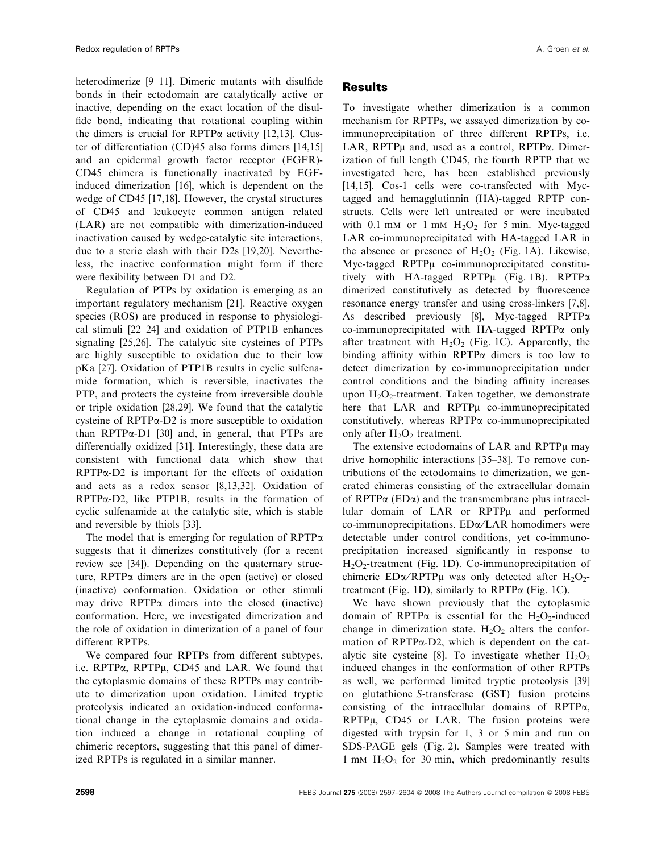heterodimerize [9–11]. Dimeric mutants with disulfide bonds in their ectodomain are catalytically active or inactive, depending on the exact location of the disulfide bond, indicating that rotational coupling within the dimers is crucial for  $RPTP\alpha$  activity [12,13]. Cluster of differentiation (CD)45 also forms dimers [14,15] and an epidermal growth factor receptor (EGFR)- CD45 chimera is functionally inactivated by EGFinduced dimerization [16], which is dependent on the wedge of CD45 [17,18]. However, the crystal structures of CD45 and leukocyte common antigen related (LAR) are not compatible with dimerization-induced inactivation caused by wedge-catalytic site interactions, due to a steric clash with their D2s [19,20]. Nevertheless, the inactive conformation might form if there were flexibility between D1 and D2.

Regulation of PTPs by oxidation is emerging as an important regulatory mechanism [21]. Reactive oxygen species (ROS) are produced in response to physiological stimuli [22–24] and oxidation of PTP1B enhances signaling [25,26]. The catalytic site cysteines of PTPs are highly susceptible to oxidation due to their low pKa [27]. Oxidation of PTP1B results in cyclic sulfenamide formation, which is reversible, inactivates the PTP, and protects the cysteine from irreversible double or triple oxidation [28,29]. We found that the catalytic cysteine of RPTPa-D2 is more susceptible to oxidation than RPTP $\alpha$ -D1 [30] and, in general, that PTPs are differentially oxidized [31]. Interestingly, these data are consistent with functional data which show that RPTPa-D2 is important for the effects of oxidation and acts as a redox sensor [8,13,32]. Oxidation of  $RPTP\alpha-D2$ , like PTP1B, results in the formation of cyclic sulfenamide at the catalytic site, which is stable and reversible by thiols [33].

The model that is emerging for regulation of  $RPTP\alpha$ suggests that it dimerizes constitutively (for a recent review see [34]). Depending on the quaternary structure,  $RPTP\alpha$  dimers are in the open (active) or closed (inactive) conformation. Oxidation or other stimuli may drive  $RPTP\alpha$  dimers into the closed (inactive) conformation. Here, we investigated dimerization and the role of oxidation in dimerization of a panel of four different RPTPs.

We compared four RPTPs from different subtypes, i.e.  $RPTP\alpha$ ,  $RPTP\mu$ ,  $CD45$  and  $LAR$ . We found that the cytoplasmic domains of these RPTPs may contribute to dimerization upon oxidation. Limited tryptic proteolysis indicated an oxidation-induced conformational change in the cytoplasmic domains and oxidation induced a change in rotational coupling of chimeric receptors, suggesting that this panel of dimerized RPTPs is regulated in a similar manner.

# Results

To investigate whether dimerization is a common mechanism for RPTPs, we assayed dimerization by coimmunoprecipitation of three different RPTPs, i.e. LAR, RPTPµ and, used as a control, RPTPa. Dimerization of full length CD45, the fourth RPTP that we investigated here, has been established previously [14,15]. Cos-1 cells were co-transfected with Myctagged and hemagglutinnin (HA)-tagged RPTP constructs. Cells were left untreated or were incubated with 0.1 mm or 1 mm  $H_2O_2$  for 5 min. Myc-tagged LAR co-immunoprecipitated with HA-tagged LAR in the absence or presence of  $H_2O_2$  (Fig. 1A). Likewise, Myc-tagged RPTPu co-immunoprecipitated constitutively with HA-tagged RPTP $\mu$  (Fig. 1B). RPTP $\alpha$ dimerized constitutively as detected by fluorescence resonance energy transfer and using cross-linkers [7,8]. As described previously [8], Myc-tagged RPTPa co-immunoprecipitated with HA-tagged RPTP $\alpha$  only after treatment with  $H_2O_2$  (Fig. 1C). Apparently, the binding affinity within  $RPTP\alpha$  dimers is too low to detect dimerization by co-immunoprecipitation under control conditions and the binding affinity increases upon  $H_2O_2$ -treatment. Taken together, we demonstrate here that LAR and RPTPµ co-immunoprecipitated constitutively, whereas RPTPa co-immunoprecipitated only after  $H_2O_2$  treatment.

The extensive ectodomains of LAR and RPTP $\mu$  may drive homophilic interactions [35–38]. To remove contributions of the ectodomains to dimerization, we generated chimeras consisting of the extracellular domain of RPTP $\alpha$  (ED $\alpha$ ) and the transmembrane plus intracellular domain of LAR or RPTPµ and performed co-immunoprecipitations. ED $\alpha$ /LAR homodimers were detectable under control conditions, yet co-immunoprecipitation increased significantly in response to H2O2-treatment (Fig. 1D). Co-immunoprecipitation of chimeric ED $\alpha$ /RPTP $\mu$  was only detected after H<sub>2</sub>O<sub>2</sub>treatment (Fig. 1D), similarly to  $RPTP\alpha$  (Fig. 1C).

We have shown previously that the cytoplasmic domain of RPTP $\alpha$  is essential for the H<sub>2</sub>O<sub>2</sub>-induced change in dimerization state.  $H_2O_2$  alters the conformation of RPTP $\alpha$ -D2, which is dependent on the catalytic site cysteine [8]. To investigate whether  $H_2O_2$ induced changes in the conformation of other RPTPs as well, we performed limited tryptic proteolysis [39] on glutathione S-transferase (GST) fusion proteins consisting of the intracellular domains of RPTPa, RPTPµ, CD45 or LAR. The fusion proteins were digested with trypsin for 1, 3 or 5 min and run on SDS-PAGE gels (Fig. 2). Samples were treated with 1 mm  $H_2O_2$  for 30 min, which predominantly results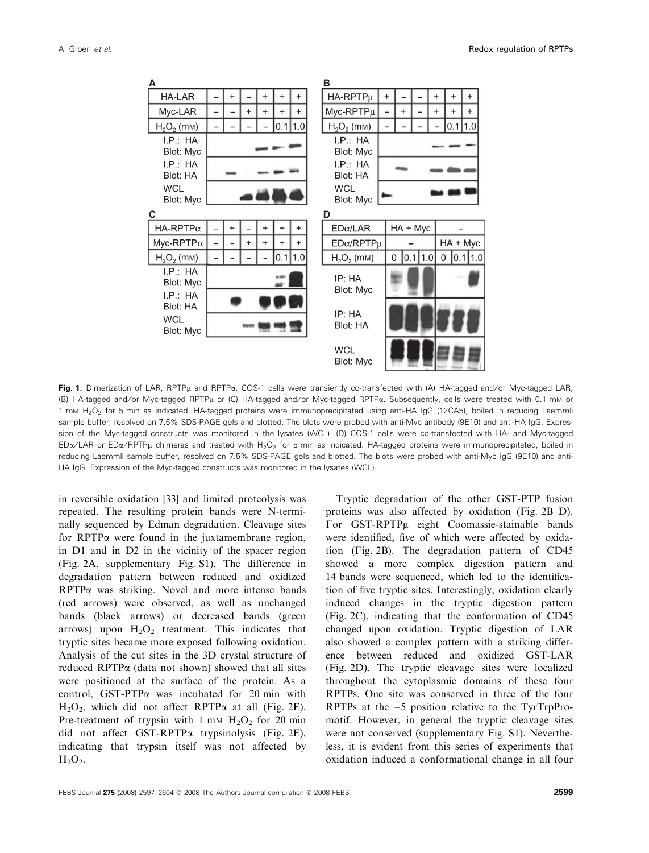

Fig. 1. Dimerization of LAR, RPTPµ and RPTPa. COS-1 cells were transiently co-transfected with (A) HA-tagged and/or Myc-tagged LAR, (B) HA-tagged and/or Myc-tagged RPTPµ or (C) HA-tagged and/or Myc-tagged RPTPa. Subsequently, cells were treated with 0.1 mm or 1 mm H<sub>2</sub>O<sub>2</sub> for 5 min as indicated. HA-tagged proteins were immunoprecipitated using anti-HA IgG (12CA5), boiled in reducing Laemmli sample buffer, resolved on 7.5% SDS-PAGE gels and blotted. The blots were probed with anti-Myc antibody (9E10) and anti-HA IgG. Expression of the Myc-tagged constructs was monitored in the lysates (WCL). (D) COS-1 cells were co-transfected with HA- and Myc-tagged ED $\alpha$ /LAR or ED $\alpha$ /RPTPµ chimeras and treated with H<sub>2</sub>O<sub>2</sub> for 5 min as indicated. HA-tagged proteins were immunoprecipitated, boiled in reducing Laemmli sample buffer, resolved on 7.5% SDS-PAGE gels and blotted. The blots were probed with anti-Myc IgG (9E10) and anti-HA IgG. Expression of the Myc-tagged constructs was monitored in the lysates (WCL).

in reversible oxidation [33] and limited proteolysis was repeated. The resulting protein bands were N-terminally sequenced by Edman degradation. Cleavage sites for RPTPa were found in the juxtamembrane region, in D1 and in D2 in the vicinity of the spacer region (Fig. 2A, supplementary Fig. S1). The difference in degradation pattern between reduced and oxidized RPTPa was striking. Novel and more intense bands (red arrows) were observed, as well as unchanged bands (black arrows) or decreased bands (green arrows) upon  $H_2O_2$  treatment. This indicates that tryptic sites became more exposed following oxidation. Analysis of the cut sites in the 3D crystal structure of reduced RPTPa (data not shown) showed that all sites were positioned at the surface of the protein. As a control, GST-PTPa was incubated for 20 min with  $H_2O_2$ , which did not affect RPTP $\alpha$  at all (Fig. 2E). Pre-treatment of trypsin with 1 mm  $H_2O_2$  for 20 min did not affect GST-RPTPa trypsinolysis (Fig. 2E), indicating that trypsin itself was not affected by  $H<sub>2</sub>O<sub>2</sub>$ .

Tryptic degradation of the other GST-PTP fusion proteins was also affected by oxidation (Fig. 2B–D). For GST-RPTPµ eight Coomassie-stainable bands were identified, five of which were affected by oxidation (Fig. 2B). The degradation pattern of CD45 showed a more complex digestion pattern and 14 bands were sequenced, which led to the identification of five tryptic sites. Interestingly, oxidation clearly induced changes in the tryptic digestion pattern (Fig. 2C), indicating that the conformation of CD45 changed upon oxidation. Tryptic digestion of LAR also showed a complex pattern with a striking difference between reduced and oxidized GST-LAR (Fig. 2D). The tryptic cleavage sites were localized throughout the cytoplasmic domains of these four RPTPs. One site was conserved in three of the four RPTPs at the  $-5$  position relative to the TyrTrpPromotif. However, in general the tryptic cleavage sites were not conserved (supplementary Fig. S1). Nevertheless, it is evident from this series of experiments that oxidation induced a conformational change in all four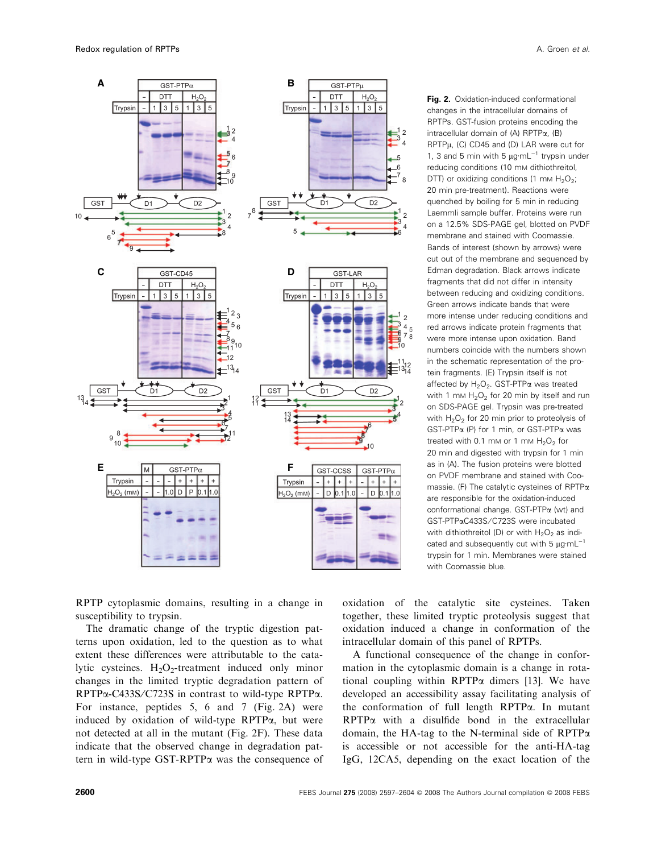

Fig. 2. Oxidation-induced conformational changes in the intracellular domains of RPTPs. GST-fusion proteins encoding the intracellular domain of (A) RPTP $\alpha$ , (B) RPTP<sub>u</sub>, (C) CD45 and (D) LAR were cut for 1, 3 and 5 min with 5  $\mu$ g·mL<sup>-1</sup> trypsin under reducing conditions (10 mm dithiothreitol, DTT) or oxidizing conditions (1 mm  $H_2O_2$ ; 20 min pre-treatment). Reactions were quenched by boiling for 5 min in reducing Laemmli sample buffer. Proteins were run on a 12.5% SDS-PAGE gel, blotted on PVDF membrane and stained with Coomassie. Bands of interest (shown by arrows) were cut out of the membrane and sequenced by Edman degradation. Black arrows indicate fragments that did not differ in intensity between reducing and oxidizing conditions. Green arrows indicate bands that were more intense under reducing conditions and red arrows indicate protein fragments that were more intense upon oxidation. Band numbers coincide with the numbers shown in the schematic representation of the protein fragments. (E) Trypsin itself is not affected by  $H_2O_2$ . GST-PTP $\alpha$  was treated with 1 mm  $H_2O_2$  for 20 min by itself and run on SDS-PAGE gel. Trypsin was pre-treated with  $H_2O_2$  for 20 min prior to proteolysis of GST-PTPa (P) for 1 min, or GST-PTPa was treated with 0.1 mm or 1 mm  $H_2O_2$  for 20 min and digested with trypsin for 1 min as in (A). The fusion proteins were blotted on PVDF membrane and stained with Coomassie. (F) The catalytic cysteines of RPTPa are responsible for the oxidation-induced conformational change. GST-PTPa (wt) and GST-PTPaC433S ⁄ C723S were incubated with dithiothreitol (D) or with  $H_2O_2$  as indicated and subsequently cut with 5  $\mu$ q·mL<sup>-1</sup> trypsin for 1 min. Membranes were stained with Coomassie blue.

RPTP cytoplasmic domains, resulting in a change in susceptibility to trypsin.

The dramatic change of the tryptic digestion patterns upon oxidation, led to the question as to what extent these differences were attributable to the catalytic cysteines.  $H_2O_2$ -treatment induced only minor changes in the limited tryptic degradation pattern of RPTPa-C433S/C723S in contrast to wild-type RPTPa. For instance, peptides 5, 6 and 7 (Fig. 2A) were induced by oxidation of wild-type RPTPa, but were not detected at all in the mutant (Fig. 2F). These data indicate that the observed change in degradation pattern in wild-type GST-RPTPa was the consequence of oxidation of the catalytic site cysteines. Taken together, these limited tryptic proteolysis suggest that oxidation induced a change in conformation of the intracellular domain of this panel of RPTPs.

A functional consequence of the change in conformation in the cytoplasmic domain is a change in rotational coupling within RPTP $\alpha$  dimers [13]. We have developed an accessibility assay facilitating analysis of the conformation of full length RPTPa. In mutant RPTPa with a disulfide bond in the extracellular domain, the HA-tag to the N-terminal side of  $RPTP\alpha$ is accessible or not accessible for the anti-HA-tag IgG, 12CA5, depending on the exact location of the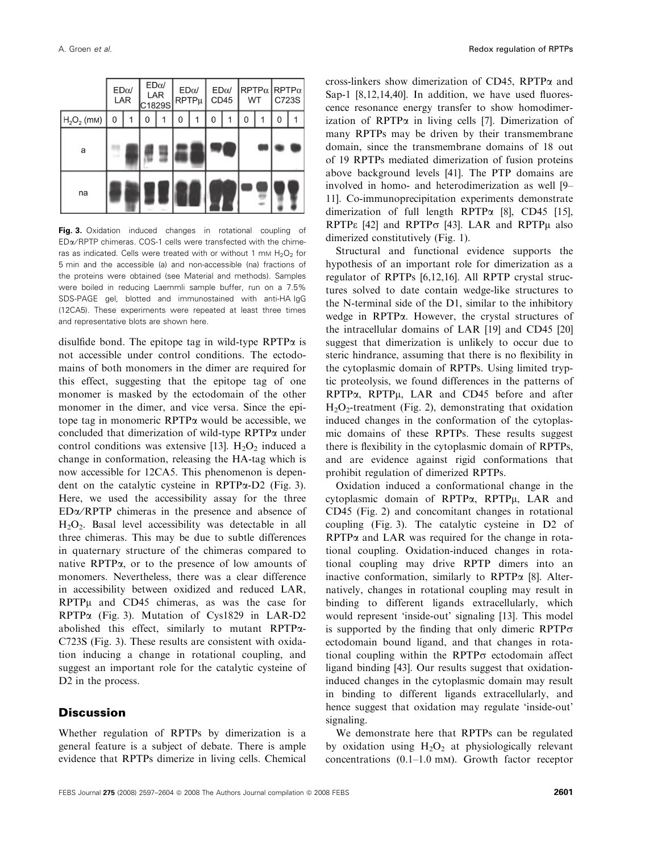|               | $ED\alpha/$<br>LAR |  | $\mathsf{ED}\alpha\mathsf{/}$<br>LAR<br>C1829S |   | $ED\alpha/$<br>$RPTP\mu$ |   | $\mathsf{ED}\alpha\mathsf{/}$<br>CD45 |   | $ $ RPTP $\alpha$ RPTP $\alpha$<br>WT |  | C723S |  |
|---------------|--------------------|--|------------------------------------------------|---|--------------------------|---|---------------------------------------|---|---------------------------------------|--|-------|--|
| $H_2O_2$ (mM) | 0                  |  | 0                                              | 1 | 0                        | 1 | 0                                     | 1 | 0                                     |  | 0     |  |
| a             |                    |  |                                                |   |                          |   |                                       |   |                                       |  |       |  |
| na            |                    |  |                                                |   |                          |   |                                       |   |                                       |  |       |  |

**Fig. 3.** Oxidation induced changes in rotational coupling of EDa ⁄ RPTP chimeras. COS-1 cells were transfected with the chimeras as indicated. Cells were treated with or without 1 mm  $H_2O_2$  for 5 min and the accessible (a) and non-accessible (na) fractions of the proteins were obtained (see Material and methods). Samples were boiled in reducing Laemmli sample buffer, run on a 7.5% SDS-PAGE gel, blotted and immunostained with anti-HA IgG (12CA5). These experiments were repeated at least three times and representative blots are shown here.

disulfide bond. The epitope tag in wild-type  $RPTP\alpha$  is not accessible under control conditions. The ectodomains of both monomers in the dimer are required for this effect, suggesting that the epitope tag of one monomer is masked by the ectodomain of the other monomer in the dimer, and vice versa. Since the epitope tag in monomeric RPTPa would be accessible, we concluded that dimerization of wild-type RPTPa under control conditions was extensive [13].  $H_2O_2$  induced a change in conformation, releasing the HA-tag which is now accessible for 12CA5. This phenomenon is dependent on the catalytic cysteine in RPTPa-D2 (Fig. 3). Here, we used the accessibility assay for the three  $ED\alpha/RPTP$  chimeras in the presence and absence of  $H<sub>2</sub>O<sub>2</sub>$ . Basal level accessibility was detectable in all three chimeras. This may be due to subtle differences in quaternary structure of the chimeras compared to native RPTPa, or to the presence of low amounts of monomers. Nevertheless, there was a clear difference in accessibility between oxidized and reduced LAR,  $RPTP\mu$  and  $CD45$  chimeras, as was the case for RPTPa (Fig. 3). Mutation of Cys1829 in LAR-D2 abolished this effect, similarly to mutant RPTPa-C723S (Fig. 3). These results are consistent with oxidation inducing a change in rotational coupling, and suggest an important role for the catalytic cysteine of D<sub>2</sub> in the process.

## **Discussion**

Whether regulation of RPTPs by dimerization is a general feature is a subject of debate. There is ample evidence that RPTPs dimerize in living cells. Chemical cross-linkers show dimerization of CD45, RPTP $\alpha$  and Sap-1 [8,12,14,40]. In addition, we have used fluorescence resonance energy transfer to show homodimerization of  $RPTP\alpha$  in living cells [7]. Dimerization of many RPTPs may be driven by their transmembrane domain, since the transmembrane domains of 18 out of 19 RPTPs mediated dimerization of fusion proteins above background levels [41]. The PTP domains are involved in homo- and heterodimerization as well [9– 11]. Co-immunoprecipitation experiments demonstrate dimerization of full length RPTPa [8], CD45 [15], RPTP $\epsilon$  [42] and RPTP $\sigma$  [43]. LAR and RPTP $\mu$  also dimerized constitutively (Fig. 1).

Structural and functional evidence supports the hypothesis of an important role for dimerization as a regulator of RPTPs [6,12,16]. All RPTP crystal structures solved to date contain wedge-like structures to the N-terminal side of the D1, similar to the inhibitory wedge in RPTPa. However, the crystal structures of the intracellular domains of LAR [19] and CD45 [20] suggest that dimerization is unlikely to occur due to steric hindrance, assuming that there is no flexibility in the cytoplasmic domain of RPTPs. Using limited tryptic proteolysis, we found differences in the patterns of  $RPTP\alpha$ ,  $RPTP\mu$ ,  $LAR$  and  $CD45$  before and after  $H_2O_2$ -treatment (Fig. 2), demonstrating that oxidation induced changes in the conformation of the cytoplasmic domains of these RPTPs. These results suggest there is flexibility in the cytoplasmic domain of RPTPs, and are evidence against rigid conformations that prohibit regulation of dimerized RPTPs.

Oxidation induced a conformational change in the cytoplasmic domain of  $RPTP\alpha$ ,  $RPTP\mu$ ,  $LAR$  and CD45 (Fig. 2) and concomitant changes in rotational coupling (Fig. 3). The catalytic cysteine in D2 of  $RPTP\alpha$  and LAR was required for the change in rotational coupling. Oxidation-induced changes in rotational coupling may drive RPTP dimers into an inactive conformation, similarly to  $RPTP\alpha$  [8]. Alternatively, changes in rotational coupling may result in binding to different ligands extracellularly, which would represent 'inside-out' signaling [13]. This model is supported by the finding that only dimeric RPTP $\sigma$ ectodomain bound ligand, and that changes in rotational coupling within the RPTP $\sigma$  ectodomain affect ligand binding [43]. Our results suggest that oxidationinduced changes in the cytoplasmic domain may result in binding to different ligands extracellularly, and hence suggest that oxidation may regulate 'inside-out' signaling.

We demonstrate here that RPTPs can be regulated by oxidation using  $H_2O_2$  at physiologically relevant concentrations (0.1–1.0 mm). Growth factor receptor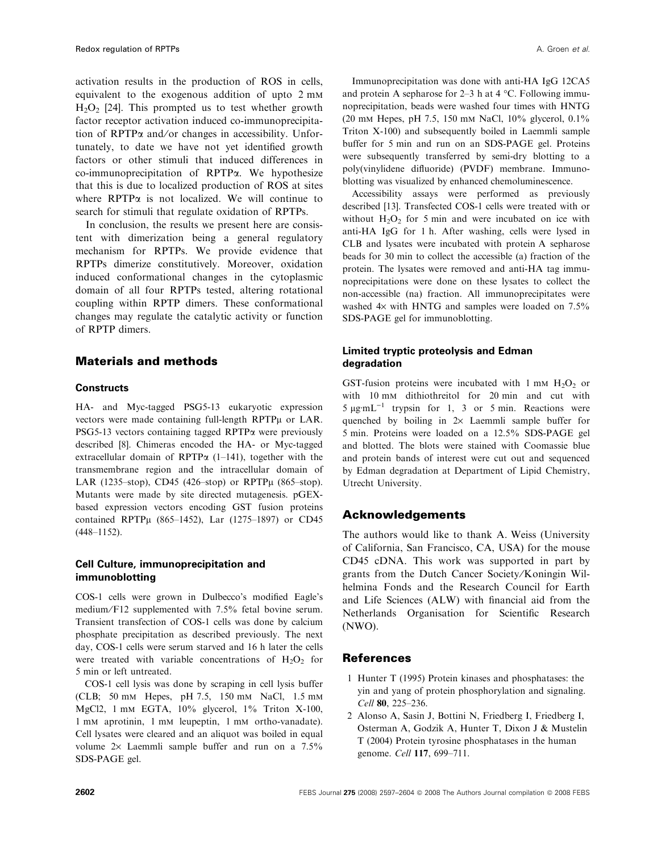activation results in the production of ROS in cells, equivalent to the exogenous addition of upto 2 mm  $H_2O_2$  [24]. This prompted us to test whether growth factor receptor activation induced co-immunoprecipitation of RPTP $\alpha$  and/or changes in accessibility. Unfortunately, to date we have not yet identified growth factors or other stimuli that induced differences in co-immunoprecipitation of RPTPa. We hypothesize that this is due to localized production of ROS at sites where  $RPTP\alpha$  is not localized. We will continue to search for stimuli that regulate oxidation of RPTPs.

In conclusion, the results we present here are consistent with dimerization being a general regulatory mechanism for RPTPs. We provide evidence that RPTPs dimerize constitutively. Moreover, oxidation induced conformational changes in the cytoplasmic domain of all four RPTPs tested, altering rotational coupling within RPTP dimers. These conformational changes may regulate the catalytic activity or function of RPTP dimers.

# Materials and methods

## **Constructs**

HA- and Myc-tagged PSG5-13 eukaryotic expression vectors were made containing full-length RPTPµ or LAR. PSG5-13 vectors containing tagged RPTP $\alpha$  were previously described [8]. Chimeras encoded the HA- or Myc-tagged extracellular domain of RPTP $\alpha$  (1–141), together with the transmembrane region and the intracellular domain of LAR (1235–stop), CD45 (426–stop) or RPTP $\mu$  (865–stop). Mutants were made by site directed mutagenesis. pGEXbased expression vectors encoding GST fusion proteins contained RPTPµ (865-1452), Lar (1275-1897) or CD45 (448–1152).

# Cell Culture, immunoprecipitation and immunoblotting

COS-1 cells were grown in Dulbecco's modified Eagle's medium ⁄F12 supplemented with 7.5% fetal bovine serum. Transient transfection of COS-1 cells was done by calcium phosphate precipitation as described previously. The next day, COS-1 cells were serum starved and 16 h later the cells were treated with variable concentrations of  $H_2O_2$  for 5 min or left untreated.

COS-1 cell lysis was done by scraping in cell lysis buffer (CLB; 50 mm Hepes, pH 7.5, 150 mm NaCl, 1.5 mm MgCl2, 1 mm EGTA, 10% glycerol, 1% Triton X-100, 1 mm aprotinin, 1 mm leupeptin, 1 mm ortho-vanadate). Cell lysates were cleared and an aliquot was boiled in equal volume  $2 \times$  Laemmli sample buffer and run on a 7.5% SDS-PAGE gel.

Immunoprecipitation was done with anti-HA IgG 12CA5 and protein A sepharose for  $2-3$  h at  $4 \text{ }^{\circ}C$ . Following immunoprecipitation, beads were washed four times with HNTG (20 mm Hepes, pH 7.5, 150 mm NaCl, 10% glycerol, 0.1% Triton X-100) and subsequently boiled in Laemmli sample buffer for 5 min and run on an SDS-PAGE gel. Proteins were subsequently transferred by semi-dry blotting to a poly(vinylidene difluoride) (PVDF) membrane. Immunoblotting was visualized by enhanced chemoluminescence.

Accessibility assays were performed as previously described [13]. Transfected COS-1 cells were treated with or without  $H_2O_2$  for 5 min and were incubated on ice with anti-HA IgG for 1 h. After washing, cells were lysed in CLB and lysates were incubated with protein A sepharose beads for 30 min to collect the accessible (a) fraction of the protein. The lysates were removed and anti-HA tag immunoprecipitations were done on these lysates to collect the non-accessible (na) fraction. All immunoprecipitates were washed  $4\times$  with HNTG and samples were loaded on 7.5% SDS-PAGE gel for immunoblotting.

# Limited tryptic proteolysis and Edman degradation

GST-fusion proteins were incubated with  $1 \text{ mm H}_2\text{O}_2$  or with 10 mm dithiothreitol for 20 min and cut with  $5 \mu$ g·mL<sup>-1</sup> trypsin for 1, 3 or 5 min. Reactions were quenched by boiling in  $2 \times$  Laemmli sample buffer for 5 min. Proteins were loaded on a 12.5% SDS-PAGE gel and blotted. The blots were stained with Coomassie blue and protein bands of interest were cut out and sequenced by Edman degradation at Department of Lipid Chemistry, Utrecht University.

# Acknowledgements

The authors would like to thank A. Weiss (University of California, San Francisco, CA, USA) for the mouse CD45 cDNA. This work was supported in part by grants from the Dutch Cancer Society/Koningin Wilhelmina Fonds and the Research Council for Earth and Life Sciences (ALW) with financial aid from the Netherlands Organisation for Scientific Research (NWO).

# References

- 1 Hunter T (1995) Protein kinases and phosphatases: the yin and yang of protein phosphorylation and signaling. Cell 80, 225–236.
- 2 Alonso A, Sasin J, Bottini N, Friedberg I, Friedberg I, Osterman A, Godzik A, Hunter T, Dixon J & Mustelin T (2004) Protein tyrosine phosphatases in the human genome. Cell 117, 699–711.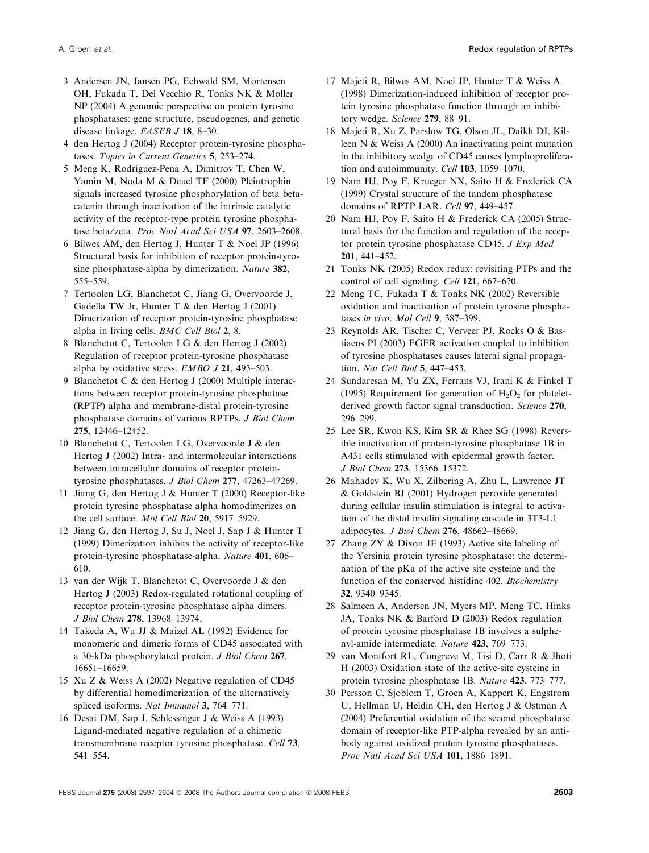- 3 Andersen JN, Jansen PG, Echwald SM, Mortensen OH, Fukada T, Del Vecchio R, Tonks NK & Moller NP (2004) A genomic perspective on protein tyrosine phosphatases: gene structure, pseudogenes, and genetic disease linkage. FASEB J 18, 8–30.
- 4 den Hertog J (2004) Receptor protein-tyrosine phosphatases. Topics in Current Genetics 5, 253–274.
- 5 Meng K, Rodriguez-Pena A, Dimitrov T, Chen W, Yamin M, Noda M & Deuel TF (2000) Pleiotrophin signals increased tyrosine phosphorylation of beta betacatenin through inactivation of the intrinsic catalytic activity of the receptor-type protein tyrosine phosphatase beta/zeta. Proc Natl Acad Sci USA 97, 2603-2608.
- 6 Bilwes AM, den Hertog J, Hunter T & Noel JP (1996) Structural basis for inhibition of receptor protein-tyrosine phosphatase-alpha by dimerization. Nature 382, 555–559.
- 7 Tertoolen LG, Blanchetot C, Jiang G, Overvoorde J, Gadella TW Jr, Hunter T & den Hertog J (2001) Dimerization of receptor protein-tyrosine phosphatase alpha in living cells. BMC Cell Biol 2, 8.
- 8 Blanchetot C, Tertoolen LG & den Hertog J (2002) Regulation of receptor protein-tyrosine phosphatase alpha by oxidative stress. EMBO J 21, 493–503.
- 9 Blanchetot C & den Hertog J (2000) Multiple interactions between receptor protein-tyrosine phosphatase (RPTP) alpha and membrane-distal protein-tyrosine phosphatase domains of various RPTPs. J Biol Chem 275, 12446–12452.
- 10 Blanchetot C, Tertoolen LG, Overvoorde J & den Hertog J (2002) Intra- and intermolecular interactions between intracellular domains of receptor proteintyrosine phosphatases. J Biol Chem 277, 47263–47269.
- 11 Jiang G, den Hertog J & Hunter T (2000) Receptor-like protein tyrosine phosphatase alpha homodimerizes on the cell surface. Mol Cell Biol 20, 5917–5929.
- 12 Jiang G, den Hertog J, Su J, Noel J, Sap J & Hunter T (1999) Dimerization inhibits the activity of receptor-like protein-tyrosine phosphatase-alpha. Nature 401, 606– 610.
- 13 van der Wijk T, Blanchetot C, Overvoorde J & den Hertog J (2003) Redox-regulated rotational coupling of receptor protein-tyrosine phosphatase alpha dimers. J Biol Chem 278, 13968–13974.
- 14 Takeda A, Wu JJ & Maizel AL (1992) Evidence for monomeric and dimeric forms of CD45 associated with a 30-kDa phosphorylated protein. J Biol Chem 267, 16651–16659.
- 15 Xu Z & Weiss A (2002) Negative regulation of CD45 by differential homodimerization of the alternatively spliced isoforms. Nat Immunol 3, 764–771.
- 16 Desai DM, Sap J, Schlessinger J & Weiss A (1993) Ligand-mediated negative regulation of a chimeric transmembrane receptor tyrosine phosphatase. Cell 73, 541–554.
- 17 Majeti R, Bilwes AM, Noel JP, Hunter T & Weiss A (1998) Dimerization-induced inhibition of receptor protein tyrosine phosphatase function through an inhibitory wedge. Science 279, 88-91.
- 18 Majeti R, Xu Z, Parslow TG, Olson JL, Daikh DI, Killeen N & Weiss A (2000) An inactivating point mutation in the inhibitory wedge of CD45 causes lymphoproliferation and autoimmunity. Cell 103, 1059-1070.
- 19 Nam HJ, Poy F, Krueger NX, Saito H & Frederick CA (1999) Crystal structure of the tandem phosphatase domains of RPTP LAR. Cell 97, 449-457.
- 20 Nam HJ, Poy F, Saito H & Frederick CA (2005) Structural basis for the function and regulation of the receptor protein tyrosine phosphatase CD45. J Exp Med 201, 441–452.
- 21 Tonks NK (2005) Redox redux: revisiting PTPs and the control of cell signaling. Cell 121, 667–670.
- 22 Meng TC, Fukada T & Tonks NK (2002) Reversible oxidation and inactivation of protein tyrosine phosphatases in vivo. Mol Cell 9, 387–399.
- 23 Reynolds AR, Tischer C, Verveer PJ, Rocks O & Bastiaens PI (2003) EGFR activation coupled to inhibition of tyrosine phosphatases causes lateral signal propagation. Nat Cell Biol 5, 447–453.
- 24 Sundaresan M, Yu ZX, Ferrans VJ, Irani K & Finkel T (1995) Requirement for generation of  $H_2O_2$  for plateletderived growth factor signal transduction. Science 270, 296–299.
- 25 Lee SR, Kwon KS, Kim SR & Rhee SG (1998) Reversible inactivation of protein-tyrosine phosphatase 1B in A431 cells stimulated with epidermal growth factor. J Biol Chem 273, 15366–15372.
- 26 Mahadev K, Wu X, Zilbering A, Zhu L, Lawrence JT & Goldstein BJ (2001) Hydrogen peroxide generated during cellular insulin stimulation is integral to activation of the distal insulin signaling cascade in 3T3-L1 adipocytes. J Biol Chem 276, 48662–48669.
- 27 Zhang ZY & Dixon JE (1993) Active site labeling of the Yersinia protein tyrosine phosphatase: the determination of the pKa of the active site cysteine and the function of the conserved histidine 402. Biochemistry 32, 9340–9345.
- 28 Salmeen A, Andersen JN, Myers MP, Meng TC, Hinks JA, Tonks NK & Barford D (2003) Redox regulation of protein tyrosine phosphatase 1B involves a sulphenyl-amide intermediate. Nature 423, 769–773.
- 29 van Montfort RL, Congreve M, Tisi D, Carr R & Jhoti H (2003) Oxidation state of the active-site cysteine in protein tyrosine phosphatase 1B. Nature 423, 773–777.
- 30 Persson C, Sjoblom T, Groen A, Kappert K, Engstrom U, Hellman U, Heldin CH, den Hertog J & Ostman A (2004) Preferential oxidation of the second phosphatase domain of receptor-like PTP-alpha revealed by an antibody against oxidized protein tyrosine phosphatases. Proc Natl Acad Sci USA 101, 1886–1891.